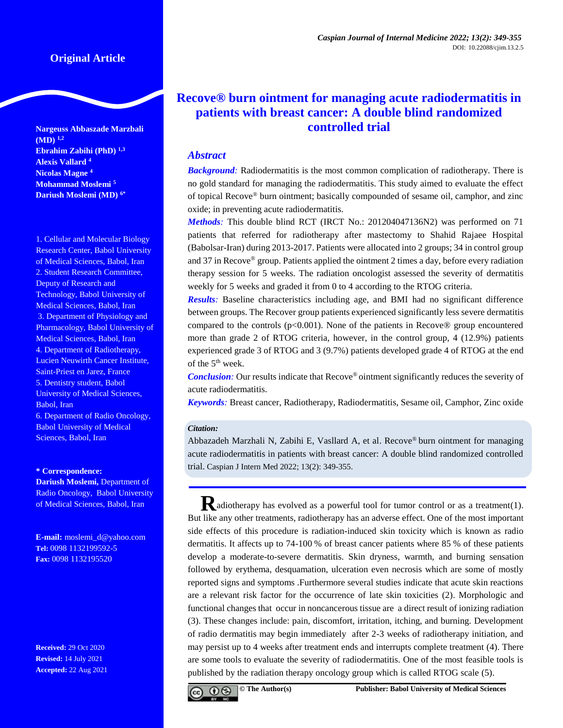**Nargeuss Abbaszade Marzbali (MD) 1,2 Ebrahim Zabihi (PhD) 1,3 Alexis Vallard <sup>4</sup> Nicolas Magne <sup>4</sup> Mohammad Moslemi <sup>5</sup> Dariush Moslemi (MD) 6\***

1. Cellular and Molecular Biology Research Center, Babol University of Medical Sciences, Babol, Iran 2. Student Research Committee, Deputy of Research and Technology, Babol University of Medical Sciences, Babol, Iran 3. Department of Physiology and Pharmacology, Babol University of Medical Sciences, Babol, Iran 4. Department of Radiotherapy, Lucien Neuwirth Cancer Institute, Saint-Priest en Jarez, France 5. Dentistry student, Babol University of Medical Sciences, Babol, Iran

6. Department of Radio Oncology, Babol University of Medical Sciences, Babol, Iran

#### **\* Correspondence:**

**Dariush Moslemi,** Department of Radio Oncology, Babol University of Medical Sciences, Babol, Iran

**E-mail:** [moslemi\\_d@yahoo.com](mailto:moslemi_d@yahoo.com) **Tel:** 0098 1132199592-5 **Fax:** 0098 1132195520

**Received:** 29 Oct 2020 **Revised:** 14 July 2021 **Accepted:** 22 Aug 2021

# **Recove® burn ointment for managing acute radiodermatitis in patients with breast cancer: A double blind randomized controlled trial**

## *Abstract*

*Background:* Radiodermatitis is the most common complication of radiotherapy. There is no gold standard for managing the radiodermatitis. This study aimed to evaluate the effect of topical Recove® burn ointment; basically compounded of sesame oil, camphor, and zinc oxide; in preventing acute radiodermatitis.

*Methods:* This double blind RCT (IRCT No.: 201204047136N2) was performed on 71 patients that referred for radiotherapy after mastectomy to Shahid Rajaee Hospital (Babolsar-Iran) during 2013-2017. Patients were allocated into 2 groups; 34 in control group and 37 in Recove® group. Patients applied the ointment 2 times a day, before every radiation therapy session for 5 weeks. The radiation oncologist assessed the severity of dermatitis weekly for 5 weeks and graded it from 0 to 4 according to the RTOG criteria.

*Results:* Baseline characteristics including age, and BMI had no significant difference between groups. The Recover group patients experienced significantly less severe dermatitis compared to the controls ( $p<0.001$ ). None of the patients in Recove® group encountered more than grade 2 of RTOG criteria, however, in the control group, 4 (12.9%) patients experienced grade 3 of RTOG and 3 (9.7%) patients developed grade 4 of RTOG at the end of the 5<sup>th</sup> week.

*Conclusion*: Our results indicate that Recove<sup>®</sup> ointment significantly reduces the severity of acute radiodermatitis.

*Keywords:* Breast cancer, Radiotherapy, Radiodermatitis, Sesame oil, Camphor, Zinc oxide

#### *Citation:*

Abbazadeh Marzhali N, Zabihi E, Vasllard A, et al. Recove® burn ointment for managing acute radiodermatitis in patients with breast cancer: A double blind randomized controlled trial. Caspian J Intern Med 2022; 13(2): 349-355.

**R**adiotherapy has evolved as a powerful tool for tumor control or as a treatment(1). But like any other treatments, radiotherapy has an adverse effect. One of the most important side effects of this procedure is radiation-induced skin toxicity which is known as radio dermatitis. It affects up to 74-100 % of breast cancer patients where 85 % of these patients develop a moderate-to-severe dermatitis. Skin dryness, warmth, and burning sensation followed by erythema, desquamation, ulceration even necrosis which are some of mostly reported signs and symptoms .Furthermore several studies indicate that acute skin reactions are a relevant risk factor for the occurrence of late skin toxicities (2). Morphologic and functional changes that occur in noncancerous tissue are a direct result of ionizing radiation (3). These changes include: pain, discomfort, irritation, itching, and burning. Development of radio dermatitis may begin immediately after 2-3 weeks of radiotherapy initiation, and may persist up to 4 weeks after treatment ends and interrupts complete treatment (4). There are some tools to evaluate the severity of radiodermatitis. One of the most feasible tools is published by the radiation therapy oncology group which is called RTOG scale (5).

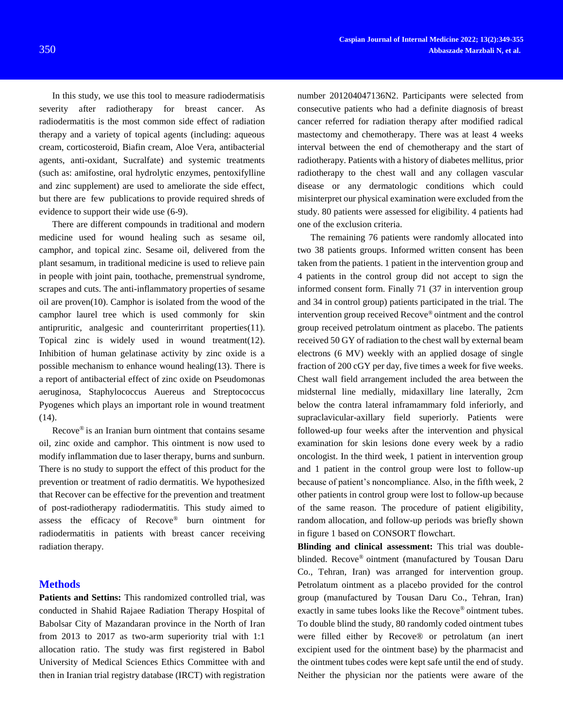In this study, we use this tool to measure radiodermatisis severity after radiotherapy for breast cancer. As radiodermatitis is the most common side effect of radiation therapy and a variety of topical agents (including: aqueous cream, corticosteroid, Biafin cream, Aloe Vera, antibacterial agents, anti-oxidant, Sucralfate) and systemic treatments (such as: amifostine, oral hydrolytic enzymes, pentoxifylline and zinc supplement) are used to ameliorate the side effect, but there are few publications to provide required shreds of evidence to support their wide use (6-9).

There are different compounds in traditional and modern medicine used for wound healing such as sesame oil, camphor, and topical zinc. Sesame oil, delivered from the plant sesamum, in traditional medicine is used to relieve pain in people with joint pain, toothache, premenstrual syndrome, scrapes and cuts. The anti-inflammatory properties of sesame oil are proven(10). Camphor is isolated from the wood of the camphor laurel tree which is used commonly for skin antipruritic, analgesic and counterirritant properties(11). Topical zinc is widely used in wound treatment(12). Inhibition of human gelatinase activity by zinc oxide is a possible mechanism to enhance wound healing(13). There is a report of antibacterial effect of zinc oxide on Pseudomonas aeruginosa, Staphylococcus Auereus and Streptococcus Pyogenes which plays an important role in wound treatment (14).

Recove® is an Iranian burn ointment that contains sesame oil, zinc oxide and camphor. This ointment is now used to modify inflammation due to laser therapy, burns and sunburn. There is no study to support the effect of this product for the prevention or treatment of radio dermatitis. We hypothesized that Recover can be effective for the prevention and treatment of post-radiotherapy radiodermatitis. This study aimed to assess the efficacy of Recove® burn ointment for radiodermatitis in patients with breast cancer receiving radiation therapy.

#### **Methods**

**Patients and Settins:** This randomized controlled trial, was conducted in Shahid Rajaee Radiation Therapy Hospital of Babolsar City of Mazandaran province in the North of Iran from 2013 to 2017 as two-arm superiority trial with 1:1 allocation ratio. The study was first registered in Babol University of Medical Sciences Ethics Committee with and then in Iranian trial registry database (IRCT) with registration

number 201204047136N2. Participants were selected from consecutive patients who had a definite diagnosis of breast cancer referred for radiation therapy after modified radical mastectomy and chemotherapy. There was at least 4 weeks interval between the end of chemotherapy and the start of radiotherapy. Patients with a history of diabetes mellitus, prior radiotherapy to the chest wall and any collagen vascular disease or any dermatologic conditions which could misinterpret our physical examination were excluded from the study. 80 patients were assessed for eligibility. 4 patients had one of the exclusion criteria.

The remaining 76 patients were randomly allocated into two 38 patients groups. Informed written consent has been taken from the patients. 1 patient in the intervention group and 4 patients in the control group did not accept to sign the informed consent form. Finally 71 (37 in intervention group and 34 in control group) patients participated in the trial. The intervention group received Recove® ointment and the control group received petrolatum ointment as placebo. The patients received 50 GY of radiation to the chest wall by external beam electrons (6 MV) weekly with an applied dosage of single fraction of 200 cGY per day, five times a week for five weeks. Chest wall field arrangement included the area between the midsternal line medially, midaxillary line laterally, 2cm below the contra lateral inframammary fold inferiorly, and supraclavicular-axillary field superiorly. Patients were followed-up four weeks after the intervention and physical examination for skin lesions done every week by a radio oncologist. In the third week, 1 patient in intervention group and 1 patient in the control group were lost to follow-up because of patient's noncompliance. Also, in the fifth week, 2 other patients in control group were lost to follow-up because of the same reason. The procedure of patient eligibility, random allocation, and follow-up periods was briefly shown in figure 1 based on CONSORT flowchart.

**Blinding and clinical assessment:** This trial was doubleblinded. Recove® ointment (manufactured by Tousan Daru Co., Tehran, Iran) was arranged for intervention group. Petrolatum ointment as a placebo provided for the control group (manufactured by Tousan Daru Co., Tehran, Iran) exactly in same tubes looks like the Recove® ointment tubes. To double blind the study, 80 randomly coded ointment tubes were filled either by Recove® or petrolatum (an inert excipient used for the ointment base) by the pharmacist and the ointment tubes codes were kept safe until the end of study. Neither the physician nor the patients were aware of the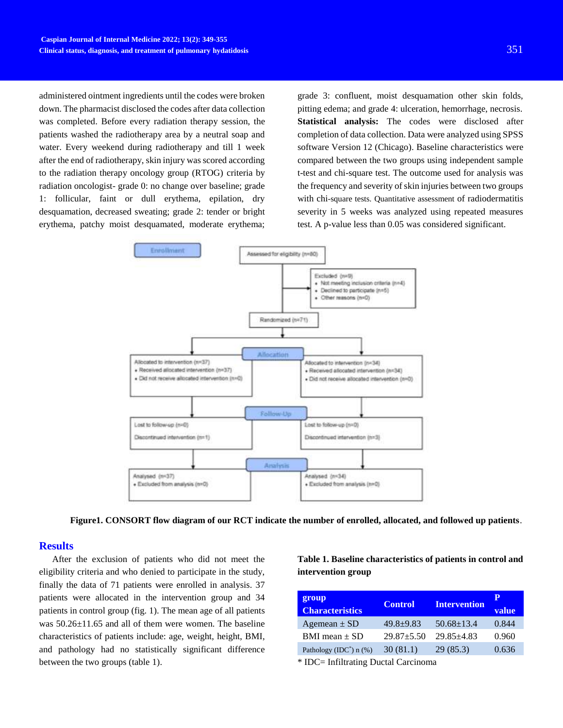administered ointment ingredients until the codes were broken down. The pharmacist disclosed the codes after data collection was completed. Before every radiation therapy session, the patients washed the radiotherapy area by a neutral soap and water. Every weekend during radiotherapy and till 1 week after the end of radiotherapy, skin injury was scored according to the radiation therapy oncology group (RTOG) criteria by radiation oncologist- grade 0: no change over baseline; grade 1: follicular, faint or dull erythema, epilation, dry desquamation, decreased sweating; grade 2: tender or bright erythema, patchy moist desquamated, moderate erythema;

grade 3: confluent, moist desquamation other skin folds, pitting edema; and grade 4: ulceration, hemorrhage, necrosis. **Statistical analysis:** The codes were disclosed after completion of data collection. Data were analyzed using SPSS software Version 12 (Chicago). Baseline characteristics were compared between the two groups using independent sample t-test and chi-square test. The outcome used for analysis was the frequency and severity of skin injuries between two groups with chi-square tests. Quantitative assessment of radiodermatitis severity in 5 weeks was analyzed using repeated measures test. A p-value less than 0.05 was considered significant.



**Figure1. CONSORT flow diagram of our RCT indicate the number of enrolled, allocated, and followed up patients**.

## **Results**

After the exclusion of patients who did not meet the eligibility criteria and who denied to participate in the study, finally the data of 71 patients were enrolled in analysis. 37 patients were allocated in the intervention group and 34 patients in control group (fig. 1). The mean age of all patients was 50.26±11.65 and all of them were women. The baseline characteristics of patients include: age, weight, height, BMI, and pathology had no statistically significant difference between the two groups (table 1).

**Table 1. Baseline characteristics of patients in control and intervention group** 

| group<br><b>Characteristics</b>       | <b>Control</b>   | <b>Intervention</b> | Р<br>value |
|---------------------------------------|------------------|---------------------|------------|
| Agemean $\pm$ SD                      | $49.8+9.83$      | $50.68 \pm 13.4$    | 0.844      |
| BMI mean $\pm$ SD                     | $29.87 \pm 5.50$ | $29.85 + 4.83$      | 0.960      |
| Pathology (IDC <sup>*</sup> ) $n$ (%) | 30(81.1)         | 29(85.3)            | 0.636      |

\* IDC= Infiltrating Ductal Carcinoma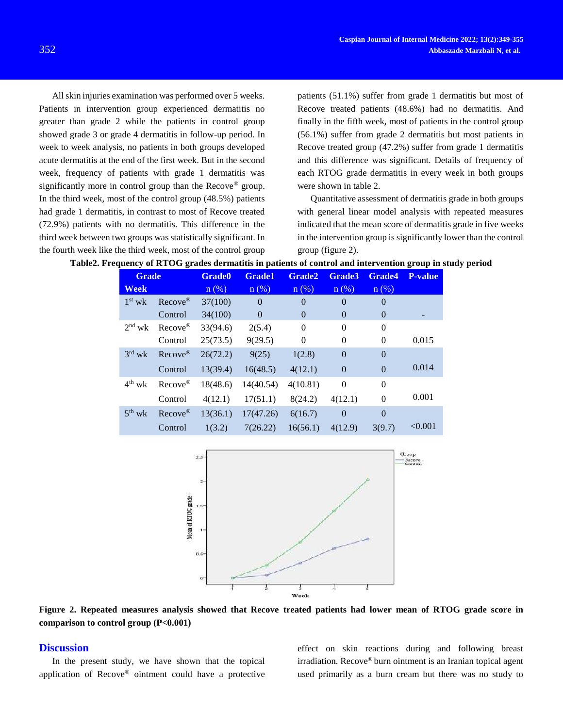All skin injuries examination was performed over 5 weeks. Patients in intervention group experienced dermatitis no greater than grade 2 while the patients in control group showed grade 3 or grade 4 dermatitis in follow-up period. In week to week analysis, no patients in both groups developed acute dermatitis at the end of the first week. But in the second week, frequency of patients with grade 1 dermatitis was significantly more in control group than the Recove<sup>®</sup> group. In the third week, most of the control group (48.5%) patients had grade 1 dermatitis, in contrast to most of Recove treated (72.9%) patients with no dermatitis. This difference in the third week between two groups was statistically significant. In the fourth week like the third week, most of the control group

patients (51.1%) suffer from grade 1 dermatitis but most of Recove treated patients (48.6%) had no dermatitis. And finally in the fifth week, most of patients in the control group (56.1%) suffer from grade 2 dermatitis but most patients in Recove treated group (47.2%) suffer from grade 1 dermatitis and this difference was significant. Details of frequency of each RTOG grade dermatitis in every week in both groups were shown in table 2.

Quantitative assessment of dermatitis grade in both groups with general linear model analysis with repeated measures indicated that the mean score of dermatitis grade in five weeks in the intervention group is significantly lower than the control group (figure 2).

| <b>Grade</b> |                      | <b>Grade0</b> | <b>Grade1</b>  | <b>Grade2</b>  | <b>Grade3</b> | Grade4         | <b>P-value</b> |
|--------------|----------------------|---------------|----------------|----------------|---------------|----------------|----------------|
| <b>Week</b>  |                      | $n$ (%)       | $n$ (%)        | $n$ (%)        | $n(\%)$       | $n(\%)$        |                |
| $1st$ wk     | Recove <sup>®</sup>  | 37(100)       | $\overline{0}$ | $\overline{0}$ | $\Omega$      | $\overline{0}$ |                |
|              | Control              | 34(100)       | $\Omega$       | $\theta$       | $\Omega$      | $\theta$       |                |
| $2nd$ wk     | Recove <sup>®</sup>  | 33(94.6)      | 2(5.4)         | $\overline{0}$ | $\theta$      | $\theta$       |                |
|              | Control              | 25(73.5)      | 9(29.5)        | $\theta$       | $\Omega$      | $\theta$       | 0.015          |
| $3rd$ wk     | $Recove^{\circledR}$ | 26(72.2)      | 9(25)          | 1(2.8)         | $\Omega$      | $\theta$       |                |
|              | Control              | 13(39.4)      | 16(48.5)       | 4(12.1)        | $\Omega$      | $\overline{0}$ | 0.014          |
| $4^{th}$ wk  | $Recove^{\circledR}$ | 18(48.6)      | 14(40.54)      | 4(10.81)       | $\theta$      | $\mathbf{0}$   |                |
|              | Control              | 4(12.1)       | 17(51.1)       | 8(24.2)        | 4(12.1)       | $\Omega$       | 0.001          |
| $5^{th}$ wk  | $Reove^{\circledR}$  | 13(36.1)      | 17(47.26)      | 6(16.7)        | $\Omega$      | $\Omega$       |                |
|              | Control              | 1(3.2)        | 7(26.22)       | 16(56.1)       | 4(12.9)       | 3(9.7)         | < 0.001        |





**Figure 2. Repeated measures analysis showed that Recove treated patients had lower mean of RTOG grade score in comparison to control group (P<0.001)**

#### **Discussion**

In the present study, we have shown that the topical application of Recove® ointment could have a protective effect on skin reactions during and following breast irradiation. Recove® burn ointment is an Iranian topical agent used primarily as a burn cream but there was no study to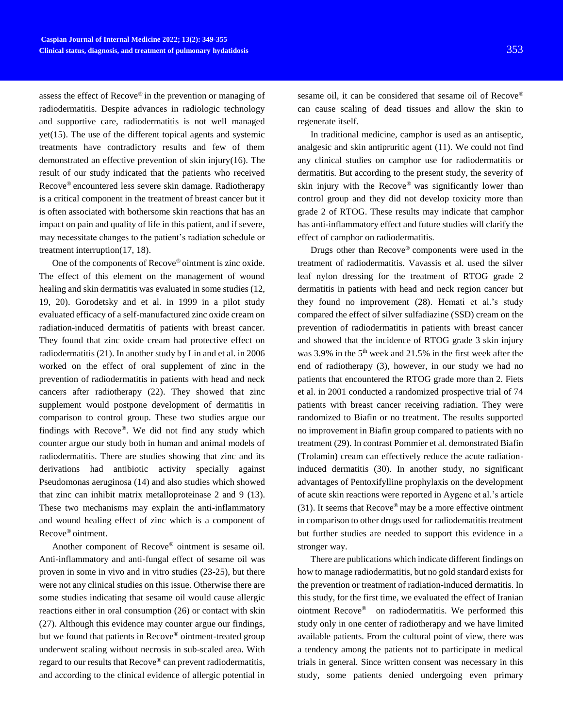assess the effect of Recove® in the prevention or managing of radiodermatitis. Despite advances in radiologic technology and supportive care, radiodermatitis is not well managed yet(15). The use of the different topical agents and systemic treatments have contradictory results and few of them demonstrated an effective prevention of skin injury(16). The result of our study indicated that the patients who received Recove® encountered less severe skin damage. Radiotherapy is a critical component in the treatment of breast cancer but it is often associated with bothersome skin reactions that has an impact on pain and quality of life in this patient, and if severe, may necessitate changes to the patient's radiation schedule or treatment interruption(17, 18).

One of the components of Recove® ointment is zinc oxide. The effect of this element on the management of wound healing and skin dermatitis was evaluated in some studies (12, 19, 20). Gorodetsky and et al. in 1999 in a pilot study evaluated efficacy of a self-manufactured zinc oxide cream on radiation-induced dermatitis of patients with breast cancer. They found that zinc oxide cream had protective effect on radiodermatitis (21). In another study by Lin and et al. in 2006 worked on the effect of oral supplement of zinc in the prevention of radiodermatitis in patients with head and neck cancers after radiotherapy (22). They showed that zinc supplement would postpone development of dermatitis in comparison to control group. These two studies argue our findings with Recove®. We did not find any study which counter argue our study both in human and animal models of radiodermatitis. There are studies showing that zinc and its derivations had antibiotic activity specially against Pseudomonas aeruginosa (14) and also studies which showed that zinc can inhibit matrix metalloproteinase 2 and 9 (13). These two mechanisms may explain the anti-inflammatory and wound healing effect of zinc which is a component of Recove® ointment.

Another component of Recove® ointment is sesame oil. Anti-inflammatory and anti-fungal effect of sesame oil was proven in some in vivo and in vitro studies (23-25), but there were not any clinical studies on this issue. Otherwise there are some studies indicating that sesame oil would cause allergic reactions either in oral consumption (26) or contact with skin (27). Although this evidence may counter argue our findings, but we found that patients in Recove® ointment-treated group underwent scaling without necrosis in sub-scaled area. With regard to our results that Recove® can prevent radiodermatitis, and according to the clinical evidence of allergic potential in

sesame oil, it can be considered that sesame oil of Recove® can cause scaling of dead tissues and allow the skin to regenerate itself.

In traditional medicine, camphor is used as an antiseptic, analgesic and skin antipruritic agent (11). We could not find any clinical studies on camphor use for radiodermatitis or dermatitis. But according to the present study, the severity of skin injury with the Recove® was significantly lower than control group and they did not develop toxicity more than grade 2 of RTOG. These results may indicate that camphor has anti-inflammatory effect and future studies will clarify the effect of camphor on radiodermatitis.

Drugs other than Recove® components were used in the treatment of radiodermatitis. Vavassis et al. used the silver leaf nylon dressing for the treatment of RTOG grade 2 dermatitis in patients with head and neck region cancer but they found no improvement (28). Hemati et al.'s study compared the effect of silver sulfadiazine (SSD) cream on the prevention of radiodermatitis in patients with breast cancer and showed that the incidence of RTOG grade 3 skin injury was 3.9% in the  $5<sup>th</sup>$  week and 21.5% in the first week after the end of radiotherapy (3), however, in our study we had no patients that encountered the RTOG grade more than 2. Fiets et al. in 2001 conducted a randomized prospective trial of 74 patients with breast cancer receiving radiation. They were randomized to Biafin or no treatment. The results supported no improvement in Biafin group compared to patients with no treatment (29). In contrast Pommier et al. demonstrated Biafin (Trolamin) cream can effectively reduce the acute radiationinduced dermatitis (30). In another study, no significant advantages of Pentoxifylline prophylaxis on the development of acute skin reactions were reported in Aygenc et al.'s article (31). It seems that  $Recov<sup>®</sup>$  may be a more effective ointment in comparison to other drugs used for radiodematitis treatment but further studies are needed to support this evidence in a stronger way.

There are publications which indicate different findings on how to manage radiodermatitis, but no gold standard exists for the prevention or treatment of radiation-induced dermatitis. In this study, for the first time, we evaluated the effect of Iranian ointment Recove® on radiodermatitis. We performed this study only in one center of radiotherapy and we have limited available patients. From the cultural point of view, there was a tendency among the patients not to participate in medical trials in general. Since written consent was necessary in this study, some patients denied undergoing even primary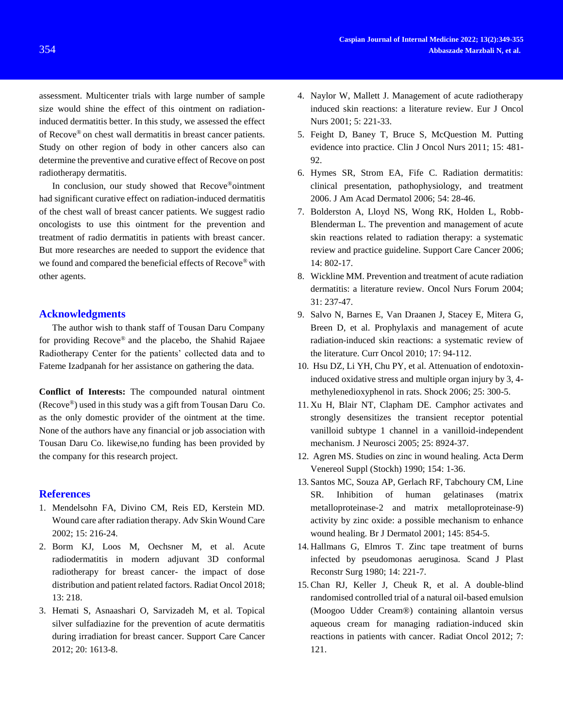assessment. Multicenter trials with large number of sample size would shine the effect of this ointment on radiationinduced dermatitis better. In this study, we assessed the effect of Recove® on chest wall dermatitis in breast cancer patients. Study on other region of body in other cancers also can determine the preventive and curative effect of Recove on post radiotherapy dermatitis.

In conclusion, our study showed that Recove®ointment had significant curative effect on radiation-induced dermatitis of the chest wall of breast cancer patients. We suggest radio oncologists to use this ointment for the prevention and treatment of radio dermatitis in patients with breast cancer. But more researches are needed to support the evidence that we found and compared the beneficial effects of Recove® with other agents.

### **Acknowledgments**

The author wish to thank staff of Tousan Daru Company for providing Recove® and the placebo, the Shahid Rajaee Radiotherapy Center for the patients' collected data and to Fateme Izadpanah for her assistance on gathering the data.

**Conflict of Interests:** The compounded natural ointment (Recove®) used in this study was a gift from Tousan Daru Co. as the only domestic provider of the ointment at the time. None of the authors have any financial or job association with Tousan Daru Co. likewise,no funding has been provided by the company for this research project.

#### **References**

- 1. Mendelsohn FA, Divino CM, Reis ED, Kerstein MD. Wound care after radiation therapy. Adv Skin Wound Care 2002; 15: 216-24.
- 2. Borm KJ, Loos M, Oechsner M, et al. Acute radiodermatitis in modern adjuvant 3D conformal radiotherapy for breast cancer- the impact of dose distribution and patient related factors. Radiat Oncol 2018; 13: 218.
- 3. Hemati S, Asnaashari O, Sarvizadeh M, et al. Topical silver sulfadiazine for the prevention of acute dermatitis during irradiation for breast cancer. Support Care Cancer 2012; 20: 1613-8.
- 4. Naylor W, Mallett J. Management of acute radiotherapy induced skin reactions: a literature review. Eur J Oncol Nurs 2001; 5: 221-33.
- 5. Feight D, Baney T, Bruce S, McQuestion M. Putting evidence into practice. Clin J Oncol Nurs 2011; 15: 481- 92.
- 6. Hymes SR, Strom EA, Fife C. Radiation dermatitis: clinical presentation, pathophysiology, and treatment 2006. J Am Acad Dermatol 2006; 54: 28-46.
- 7. Bolderston A, Lloyd NS, Wong RK, Holden L, Robb-Blenderman L. The prevention and management of acute skin reactions related to radiation therapy: a systematic review and practice guideline. Support Care Cancer 2006; 14: 802-17.
- 8. Wickline MM. Prevention and treatment of acute radiation dermatitis: a literature review. Oncol Nurs Forum 2004; 31: 237-47.
- 9. Salvo N, Barnes E, Van Draanen J, Stacey E, Mitera G, Breen D, et al. Prophylaxis and management of acute radiation-induced skin reactions: a systematic review of the literature. Curr Oncol 2010; 17: 94-112.
- 10. Hsu DZ, Li YH, Chu PY, et al. Attenuation of endotoxininduced oxidative stress and multiple organ injury by 3, 4 methylenedioxyphenol in rats. Shock 2006; 25: 300-5.
- 11. Xu H, Blair NT, Clapham DE. Camphor activates and strongly desensitizes the transient receptor potential vanilloid subtype 1 channel in a vanilloid-independent mechanism. J Neurosci 2005; 25: 8924-37.
- 12. Agren MS. Studies on zinc in wound healing. Acta Derm Venereol Suppl (Stockh) 1990; 154: 1-36.
- 13. Santos MC, Souza AP, Gerlach RF, Tabchoury CM, Line SR. Inhibition of human gelatinases (matrix metalloproteinase‐2 and matrix metalloproteinase‐9) activity by zinc oxide: a possible mechanism to enhance wound healing. Br J Dermatol 2001; 145: 854-5.
- 14. Hallmans G, Elmros T. Zinc tape treatment of burns infected by pseudomonas aeruginosa. Scand J Plast Reconstr Surg 1980; 14: 221-7.
- 15. Chan RJ, Keller J, Cheuk R, et al. A double-blind randomised controlled trial of a natural oil-based emulsion (Moogoo Udder Cream®) containing allantoin versus aqueous cream for managing radiation-induced skin reactions in patients with cancer. Radiat Oncol 2012; 7: 121.